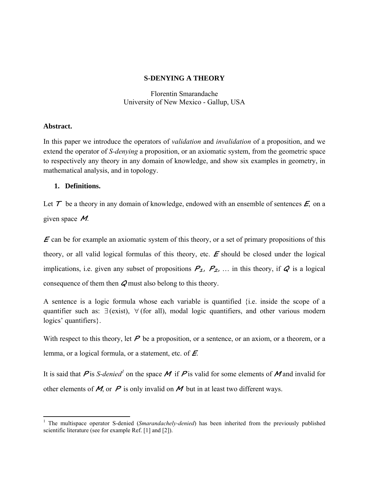#### **S-DENYING A THEORY**

### Florentin Smarandache University of New Mexico - Gallup, USA

#### **Abstract.**

In this paper we introduce the operators of *validation* and *invalidation* of a proposition, and we extend the operator of *S-denying* a proposition, or an axiomatic system, from the geometric space to respectively any theory in any domain of knowledge, and show six examples in geometry, in mathematical analysis, and in topology.

#### **1. Definitions.**

Let  $\tau$  be a theory in any domain of knowledge, endowed with an ensemble of sentences  $\epsilon$ , on a given space **M**.

**E** can be for example an axiomatic system of this theory, or a set of primary propositions of this theory, or all valid logical formulas of this theory, etc. **E** should be closed under the logical implications, i.e. given any subset of propositions  $P_1$ ,  $P_2$ , ... in this theory, if  $Q$  is a logical consequence of them then **Q** must also belong to this theory.

A sentence is a logic formula whose each variable is quantified {i.e. inside the scope of a quantifier such as: ∃(exist), ∀ (for all), modal logic quantifiers, and other various modern logics' quantifiers }.

With respect to this theory, let  $\boldsymbol{P}$  be a proposition, or a sentence, or an axiom, or a theorem, or a lemma, or a logical formula, or a statement, etc. of **E**.

It is said that  $P$  is *S-denied<sup>1</sup>* on the space M if P is valid for some elements of M and invalid for other elements of  $M$ , or  $P$  is only invalid on  $M$  but in at least two different ways.

<sup>&</sup>lt;sup>1</sup> The multispace operator S-denied (*Smarandachely-denied*) has been inherited from the previously published scientific literature (see for example Ref. [1] and [2]).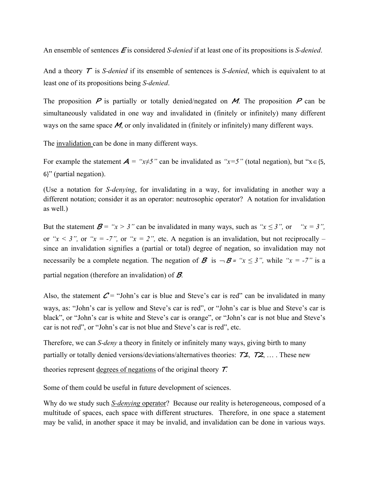An ensemble of sentences **E** is considered *S-denied* if at least one of its propositions is *S-denied*.

And a theory **T** is *S-denied* if its ensemble of sentences is *S-denied*, which is equivalent to at least one of its propositions being *S-denied*.

The proposition  $P$  is partially or totally denied/negated on  $M$ . The proposition  $P$  can be simultaneously validated in one way and invalidated in (finitely or infinitely) many different ways on the same space  $M$ , or only invalidated in (finitely or infinitely) many different ways.

The invalidation can be done in many different ways.

For example the statement  $A = x \neq 5$ " can be invalidated as  $x = 5$ " (total negation), but "x  $\in$  {5}, 6}" (partial negation).

(Use a notation for *S-denying*, for invalidating in a way, for invalidating in another way a different notation; consider it as an operator: neutrosophic operator? A notation for invalidation as well.)

But the statement  $\mathbf{B} = "x > 3"$  can be invalidated in many ways, such as " $x \leq 3"$ , or " $x = 3"$ , or " $x < 3$ ", or " $x = -7$ ", or " $x = 2$ ", etc. A negation is an invalidation, but not reciprocally – since an invalidation signifies a (partial or total) degree of negation, so invalidation may not necessarily be a complete negation. The negation of  $\mathcal{B}$  is  $-\mathcal{B}$  = " $x \leq 3$ ", while " $x = -7$ " is a partial negation (therefore an invalidation) of **B**.

Also, the statement  $C =$  "John's car is blue and Steve's car is red" can be invalidated in many ways, as: "John's car is yellow and Steve's car is red", or "John's car is blue and Steve's car is black", or "John's car is white and Steve's car is orange", or "John's car is not blue and Steve's car is not red", or "John's car is not blue and Steve's car is red", etc.

Therefore, we can *S-deny* a theory in finitely or infinitely many ways, giving birth to many partially or totally denied versions/deviations/alternatives theories:  $\mathcal{T}_1$ ,  $\mathcal{T}_2$ ,  $\ldots$ . These new

theories represent degrees of negations of the original theory **T**.

Some of them could be useful in future development of sciences.

Why do we study such *S-denying* operator? Because our reality is heterogeneous, composed of a multitude of spaces, each space with different structures. Therefore, in one space a statement may be valid, in another space it may be invalid, and invalidation can be done in various ways.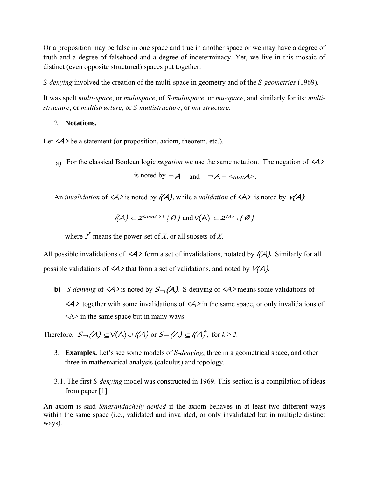Or a proposition may be false in one space and true in another space or we may have a degree of truth and a degree of falsehood and a degree of indeterminacy. Yet, we live in this mosaic of distinct (even opposite structured) spaces put together.

*S-denying* involved the creation of the multi-space in geometry and of the *S-geometries* (1969).

It was spelt *multi-space*, or *multispace*, of *S-multispace*, or *mu-space*, and similarly for its: *multistructure*, or *multistructure*, or *S-multistructure*, or *mu-structure.* 

## 2. **Notations.**

Let  $\langle A \rangle$  be a statement (or proposition, axiom, theorem, etc.).

a) For the classical Boolean logic *negation* we use the same notation. The negation of <A>

is noted by  $\neg A$  and  $\neg A = \langle \text{non} A \rangle$ .

An *invalidation* of  $\langle A \rangle$  is noted by  $\mathbf{i}(\mathbf{A})$ , while a *validation* of  $\langle A \rangle$  is noted by  $\mathbf{v}(\mathbf{A})$ :

$$
i(A) \subseteq 2^{} \setminus \{ \emptyset \} \text{ and } v(A) \subseteq 2^{} \setminus \{ \emptyset \}
$$

where  $2^X$  means the power-set of *X*, or all subsets of *X*.

All possible invalidations of  $\langle A \rangle$  form a set of invalidations, notated by  $\mathcal{U}(A)$ . Similarly for all possible validations of  $\langle A \rangle$  that form a set of validations, and noted by  $V(A)$ .

**b**) *S-denying* of  $\langle A \rangle$  is noted by  $S_{\neg}(\overline{A})$ . S-denying of  $\langle A \rangle$  means some validations of  $\langle A \rangle$  together with some invalidations of  $\langle A \rangle$  in the same space, or only invalidations of <A> in the same space but in many ways.

Therefore,  $S_{\neg}(\mathcal{A}) \subseteq V(\mathcal{A}) \cup I(\mathcal{A})$  or  $S_{\neg}(\mathcal{A}) \subseteq I(\mathcal{A})^k$ , for  $k \geq 2$ .

- 3. **Examples.** Let's see some models of *S-denying*, three in a geometrical space, and other three in mathematical analysis (calculus) and topology.
- 3.1. The first *S-denying* model was constructed in 1969. This section is a compilation of ideas from paper [1].

An axiom is said *Smarandachely denied* if the axiom behaves in at least two different ways within the same space (i.e., validated and invalided, or only invalidated but in multiple distinct ways).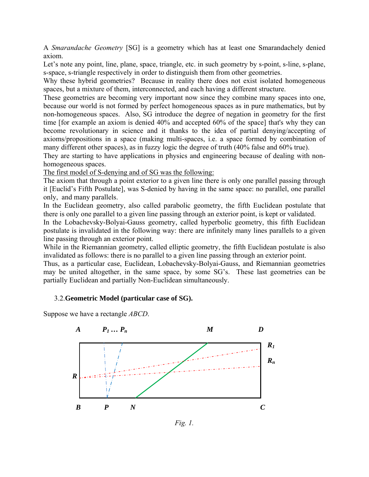A *Smarandache Geometry* [SG] is a geometry which has at least one Smarandachely denied axiom.

Let's note any point, line, plane, space, triangle, etc. in such geometry by s-point, s-line, s-plane, s-space, s-triangle respectively in order to distinguish them from other geometries.

Why these hybrid geometries? Because in reality there does not exist isolated homogeneous spaces, but a mixture of them, interconnected, and each having a different structure.

These geometries are becoming very important now since they combine many spaces into one, because our world is not formed by perfect homogeneous spaces as in pure mathematics, but by non-homogeneous spaces. Also, SG introduce the degree of negation in geometry for the first time [for example an axiom is denied 40% and accepted 60% of the space] that's why they can become revolutionary in science and it thanks to the idea of partial denying/accepting of axioms/propositions in a space (making multi-spaces, i.e. a space formed by combination of many different other spaces), as in fuzzy logic the degree of truth (40% false and 60% true).

They are starting to have applications in physics and engineering because of dealing with nonhomogeneous spaces.

The first model of S-denying and of SG was the following:

The axiom that through a point exterior to a given line there is only one parallel passing through it [Euclid's Fifth Postulate], was S-denied by having in the same space: no parallel, one parallel only, and many parallels.

In the Euclidean geometry, also called parabolic geometry, the fifth Euclidean postulate that there is only one parallel to a given line passing through an exterior point, is kept or validated.

In the Lobachevsky-Bolyai-Gauss geometry, called hyperbolic geometry, this fifth Euclidean postulate is invalidated in the following way: there are infinitely many lines parallels to a given line passing through an exterior point.

While in the Riemannian geometry, called elliptic geometry, the fifth Euclidean postulate is also invalidated as follows: there is no parallel to a given line passing through an exterior point.

Thus, as a particular case, Euclidean, Lobachevsky-Bolyai-Gauss, and Riemannian geometries may be united altogether, in the same space, by some SG's. These last geometries can be partially Euclidean and partially Non-Euclidean simultaneously.

## 3.2.**Geometric Model (particular case of SG).**

Suppose we have a rectangle *ABCD*.



*Fig. 1.*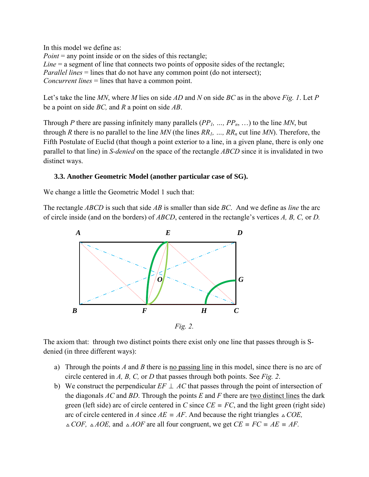In this model we define as: *Point* = any point inside or on the sides of this rectangle; *Line* = a segment of line that connects two points of opposite sides of the rectangle; *Parallel lines* = lines that do not have any common point (do not intersect); *Concurrent lines* = lines that have a common point.

Let's take the line *MN*, where *M* lies on side *AD* and *N* on side *BC* as in the above *Fig. 1*. Let *P*  be a point on side *BC,* and *R* a point on side *AB*.

Through *P* there are passing infinitely many parallels  $(PP_1, ..., PP_n, ...)$  to the line *MN*, but through *R* there is no parallel to the line *MN* (the lines  $RR_1$ , ...,  $RR_n$  cut line *MN*). Therefore, the Fifth Postulate of Euclid (that though a point exterior to a line, in a given plane, there is only one parallel to that line) in *S-denied* on the space of the rectangle *ABCD* since it is invalidated in two distinct ways.

## **3.3. Another Geometric Model (another particular case of SG).**

We change a little the Geometric Model 1 such that:

The rectangle *ABCD* is such that side *AB* is smaller than side *BC*. And we define as *line* the arc of circle inside (and on the borders) of *ABCD*, centered in the rectangle's vertices *A, B, C,* or *D.* 



The axiom that: through two distinct points there exist only one line that passes through is Sdenied (in three different ways):

- a) Through the points *A* and *B* there is no passing line in this model, since there is no arc of circle centered in *A, B, C,* or *D* that passes through both points. See *Fig. 2*.
- b) We construct the perpendicular  $EF \perp AC$  that passes through the point of intersection of the diagonals *AC* and *BD*. Through the points *E* and *F* there are two distinct lines the dark green (left side) arc of circle centered in *C* since  $CE \equiv FC$ , and the light green (right side) arc of circle centered in *A* since  $AE = AF$ . And because the right triangles  $\triangle COE$ .  $\triangle$  *COF,*  $\triangle$  *AOE,* and  $\triangle$  *AOF* are all four congruent, we get *CE* ≡ *FC* ≡ *AE* = *AF.*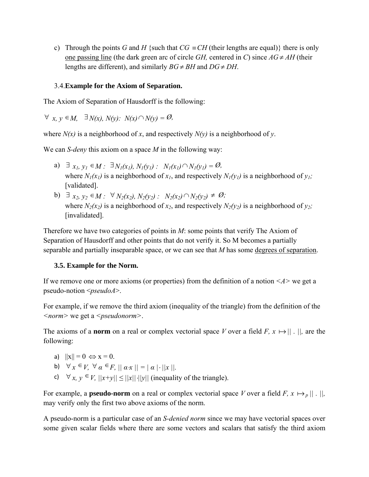c) Through the points *G* and *H* {such that  $CG \equiv CH$  (their lengths are equal)} there is only one passing line (the dark green arc of circle *GH*, centered in *C*) since  $AG \neq AH$  (their lengths are different), and similarly  $BG \neq BH$  and  $DG \neq DH$ .

# 3.4.**Example for the Axiom of Separation.**

The Axiom of Separation of Hausdorff is the following:

∀ *x, y* ∈*M,* ∃*N(x), N(y): N(x)*∩ *N(y) = Ø,* 

where  $N(x)$  is a neighborhood of *x*, and respectively  $N(y)$  is a neighborhood of *y*.

We can *S-deny* this axiom on a space *M* in the following way:

- a)  $\exists x_1, y_1 \in M$ :  $\exists N_1(x_1), N_1(y_1)$ :  $N_1(x_1) \cap N_1(y_1) = \emptyset$ , where  $N_1(x_1)$  is a neighborhood of  $x_1$ , and respectively  $N_1(y_1)$  is a neighborhood of  $y_1$ ; [validated].
- **b**)  $\exists x_2, y_2 \in M$  :  $\forall N_2(x_2), N_2(y_2)$  :  $N_2(x_2) \cap N_2(y_2) \neq \emptyset$ ; where  $N_2(x_2)$  is a neighborhood of  $x_2$ , and respectively  $N_2(y_2)$  is a neighborhood of  $y_2$ ; [invalidated].

Therefore we have two categories of points in *M*: some points that verify The Axiom of Separation of Hausdorff and other points that do not verify it. So M becomes a partially separable and partially inseparable space, or we can see that *M* has some degrees of separation.

## **3.5. Example for the Norm.**

If we remove one or more axioms (or properties) from the definition of a notion *<A>* we get a pseudo-notion <*pseudoA*>.

For example, if we remove the third axiom (inequality of the triangle) from the definition of the *<norm>* we get a *<pseudonorm>*.

The axioms of a **norm** on a real or complex vectorial space *V* over a field *F*,  $x \mapsto ||$ .  $||$ , are the following:

- a)  $||x|| = 0 \Leftrightarrow x = 0.$
- b)  $\forall x \in V, \forall \alpha \in F, ||\alpha x|| = |\alpha| \cdot ||x||.$
- c)  $\forall x, y \in V, ||x+y|| \leq ||x|| \cdot ||y||$  (inequality of the triangle).

For example, a **pseudo-norm** on a real or complex vectorial space *V* over a field *F*,  $x \mapsto p ||$ .  $||$ , may verify only the first two above axioms of the norm.

A pseudo-norm is a particular case of an *S-denied norm* since we may have vectorial spaces over some given scalar fields where there are some vectors and scalars that satisfy the third axiom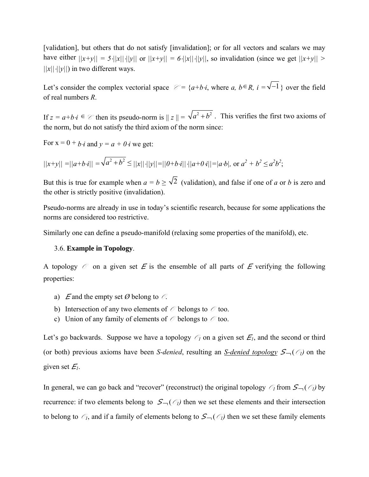[validation], but others that do not satisfy [invalidation]; or for all vectors and scalars we may have either  $||x+y|| = 5 \cdot ||x|| \cdot ||y||$  or  $||x+y|| = 6 \cdot ||x|| \cdot ||y||$ , so invalidation (since we get  $||x+y|| > 0$ *||x||*⋅*||y||*) in two different ways.

Let's consider the complex vectorial space  $\mathcal{C} = \{a+b \cdot i, \text{ where } a, b \in R, i = \sqrt{-1}\}\$  over the field of real numbers *R*.

If  $z = a+b \cdot i \in \mathcal{C}$  then its pseudo-norm is  $||z|| = \sqrt{a^2 + b^2}$ . This verifies the first two axioms of the norm, but do not satisfy the third axiom of the norm since:

For  $x = 0 + b \cdot i$  and  $y = a + 0 \cdot i$  we get:

$$
||x+y|| = ||a+b \, i|| = \sqrt{a^2 + b^2} \le ||x|| \, ||y|| = ||0+b \, i|| \, ||a+0 \, i|| = |a \cdot b|, \text{ or } a^2 + b^2 \le a^2b^2;
$$

But this is true for example when  $a = b \ge \sqrt{2}$  (validation), and false if one of *a* or *b* is zero and the other is strictly positive (invalidation).

Pseudo-norms are already in use in today's scientific research, because for some applications the norms are considered too restrictive.

Similarly one can define a pseudo-manifold (relaxing some properties of the manifold), etc.

#### 3.6. **Example in Topology**.

A topology  $\mathscr O$  on a given set E is the ensemble of all parts of E verifying the following properties:

- a) *E* and the empty set  $\emptyset$  belong to  $\emptyset$ .
- b) Intersection of any two elements of  $\mathcal O$  belongs to  $\mathcal O$  too.
- c) Union of any family of elements of  $\mathcal O$  belongs to  $\mathcal O$  too.

Let's go backwards. Suppose we have a topology  $\mathcal{O}_1$  on a given set  $\mathcal{E}_1$ , and the second or third (or both) previous axioms have been *S-denied*, resulting an *S-denied topology*  $S_{-}(\mathcal{O}_l)$  on the given set  $E_I$ .

In general, we can go back and "recover" (reconstruct) the original topology  $\mathcal{O}_1$  from  $\mathcal{S}$   $\cap$  ( $\mathcal{O}_1$ ) by recurrence: if two elements belong to  $S<sub>-\frac{1}{2}</sub>$  ( $\mathcal{O}<sub>1</sub>$ ) then we set these elements and their intersection to belong to  $\mathcal{O}_1$ , and if a family of elements belong to  $\mathcal{S}_{\neg}(\mathcal{O}_1)$  then we set these family elements